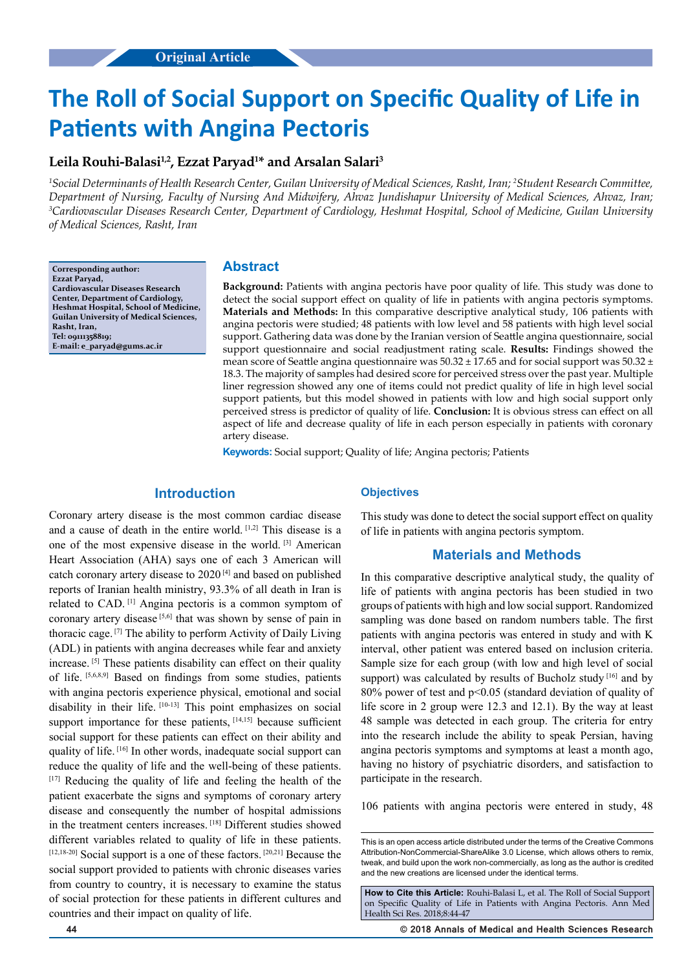# **The Roll of Social Support on Specific Quality of Life in Patients with Angina Pectoris**

## **Leila Rouhi-Balasi1,2, Ezzat Paryad1 \* and Arsalan Salari3**

*1 Social Determinants of Health Research Center, Guilan University of Medical Sciences, Rasht, Iran; 2 Student Research Committee, Department of Nursing, Faculty of Nursing And Midwifery, Ahvaz Jundishapur University of Medical Sciences, Ahvaz, Iran; 3 Cardiovascular Diseases Research Center, Department of Cardiology, Heshmat Hospital, School of Medicine, Guilan University of Medical Sciences, Rasht, Iran*

**Corresponding author: Ezzat Paryad, Cardiovascular Diseases Research Center, Department of Cardiology, Heshmat Hospital, School of Medicine, Guilan University of Medical Sciences, Rasht, Iran, Tel: 09111358819; E-mail: e\_paryad@gums.ac.ir**

### **Abstract**

**Background:** Patients with angina pectoris have poor quality of life. This study was done to detect the social support effect on quality of life in patients with angina pectoris symptoms. **Materials and Methods:** In this comparative descriptive analytical study, 106 patients with angina pectoris were studied; 48 patients with low level and 58 patients with high level social support. Gathering data was done by the Iranian version of Seattle angina questionnaire, social support questionnaire and social readjustment rating scale. **Results:** Findings showed the mean score of Seattle angina questionnaire was  $50.32 \pm 17.65$  and for social support was  $50.32 \pm 17.65$ 18.3. The majority of samples had desired score for perceived stress over the past year. Multiple liner regression showed any one of items could not predict quality of life in high level social support patients, but this model showed in patients with low and high social support only perceived stress is predictor of quality of life. **Conclusion:** It is obvious stress can effect on all aspect of life and decrease quality of life in each person especially in patients with coronary artery disease.

**Keywords:** Social support; Quality of life; Angina pectoris; Patients

## **Introduction**

Coronary artery disease is the most common cardiac disease and a cause of death in the entire world. [1,2] This disease is a one of the most expensive disease in the world. [3] American Heart Association (AHA) says one of each 3 American will catch coronary artery disease to 2020 [4] and based on published reports of Iranian health ministry, 93.3% of all death in Iran is related to CAD. [1] Angina pectoris is a common symptom of coronary artery disease [5,6] that was shown by sense of pain in thoracic cage. [7] The ability to perform Activity of Daily Living (ADL) in patients with angina decreases while fear and anxiety increase. [5] These patients disability can effect on their quality of life. [5,6,8,9] Based on findings from some studies, patients with angina pectoris experience physical, emotional and social disability in their life. [10-13] This point emphasizes on social support importance for these patients, [14,15] because sufficient social support for these patients can effect on their ability and quality of life. [16] In other words, inadequate social support can reduce the quality of life and the well-being of these patients. [17] Reducing the quality of life and feeling the health of the patient exacerbate the signs and symptoms of coronary artery disease and consequently the number of hospital admissions in the treatment centers increases. [18] Different studies showed different variables related to quality of life in these patients. [12,18-20] Social support is a one of these factors. [20,21] Because the social support provided to patients with chronic diseases varies from country to country, it is necessary to examine the status of social protection for these patients in different cultures and countries and their impact on quality of life.

#### **Objectives**

This study was done to detect the social support effect on quality of life in patients with angina pectoris symptom.

#### **Materials and Methods**

In this comparative descriptive analytical study, the quality of life of patients with angina pectoris has been studied in two groups of patients with high and low social support. Randomized sampling was done based on random numbers table. The first patients with angina pectoris was entered in study and with K interval, other patient was entered based on inclusion criteria. Sample size for each group (with low and high level of social support) was calculated by results of Bucholz study [16] and by 80% power of test and p<0.05 (standard deviation of quality of life score in 2 group were 12.3 and 12.1). By the way at least 48 sample was detected in each group. The criteria for entry into the research include the ability to speak Persian, having angina pectoris symptoms and symptoms at least a month ago, having no history of psychiatric disorders, and satisfaction to participate in the research.

106 patients with angina pectoris were entered in study, 48

**How to Cite this Article:** Rouhi-Balasi L, et al. The Roll of Social Support on Specific Quality of Life in Patients with Angina Pectoris. Ann Med Health Sci Res. 2018;8:44-47

**44 © 2018 Annals of Medical and Health Sciences Research** 

This is an open access article distributed under the terms of the Creative Commons Attribution-NonCommercial-ShareAlike 3.0 License, which allows others to remix, tweak, and build upon the work non‑commercially, as long as the author is credited and the new creations are licensed under the identical terms.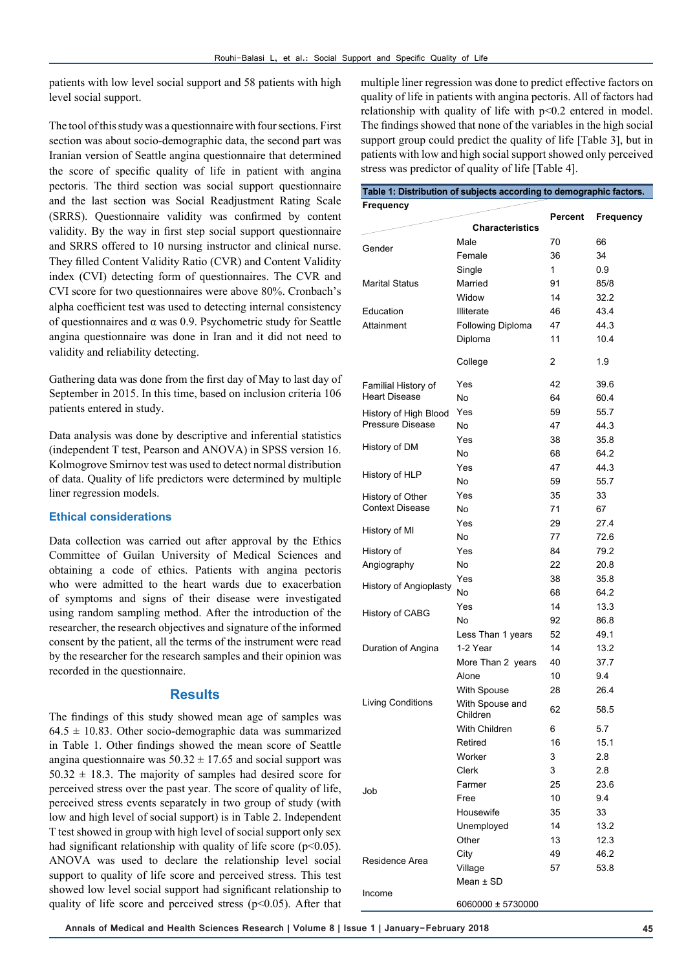patients with low level social support and 58 patients with high level social support.

The tool of this study was a questionnaire with four sections. First section was about socio-demographic data, the second part was Iranian version of Seattle angina questionnaire that determined the score of specific quality of life in patient with angina pectoris. The third section was social support questionnaire and the last section was Social Readjustment Rating Scale (SRRS). Questionnaire validity was confirmed by content validity. By the way in first step social support questionnaire and SRRS offered to 10 nursing instructor and clinical nurse. They filled Content Validity Ratio (CVR) and Content Validity index (CVI) detecting form of questionnaires. The CVR and CVI score for two questionnaires were above 80%. Cronbach's alpha coefficient test was used to detecting internal consistency of questionnaires and α was 0.9. Psychometric study for Seattle angina questionnaire was done in Iran and it did not need to validity and reliability detecting.

Gathering data was done from the first day of May to last day of September in 2015. In this time, based on inclusion criteria 106 patients entered in study.

Data analysis was done by descriptive and inferential statistics (independent T test, Pearson and ANOVA) in SPSS version 16. Kolmogrove Smirnov test was used to detect normal distribution of data. Quality of life predictors were determined by multiple liner regression models.

#### **Ethical considerations**

Data collection was carried out after approval by the Ethics Committee of Guilan University of Medical Sciences and obtaining a code of ethics. Patients with angina pectoris who were admitted to the heart wards due to exacerbation of symptoms and signs of their disease were investigated using random sampling method. After the introduction of the researcher, the research objectives and signature of the informed consent by the patient, all the terms of the instrument were read by the researcher for the research samples and their opinion was recorded in the questionnaire.

#### **Results**

The findings of this study showed mean age of samples was  $64.5 \pm 10.83$ . Other socio-demographic data was summarized in Table 1. Other findings showed the mean score of Seattle angina questionnaire was  $50.32 \pm 17.65$  and social support was  $50.32 \pm 18.3$ . The majority of samples had desired score for perceived stress over the past year. The score of quality of life, perceived stress events separately in two group of study (with low and high level of social support) is in Table 2. Independent T test showed in group with high level of social support only sex had significant relationship with quality of life score  $(p<0.05)$ . ANOVA was used to declare the relationship level social support to quality of life score and perceived stress. This test showed low level social support had significant relationship to quality of life score and perceived stress ( $p$ <0.05). After that multiple liner regression was done to predict effective factors on quality of life in patients with angina pectoris. All of factors had relationship with quality of life with p<0.2 entered in model. The findings showed that none of the variables in the high social support group could predict the quality of life [Table 3], but in patients with low and high social support showed only perceived stress was predictor of quality of life [Table 4].

| <b>Frequency</b>       |                             | Percent |           |
|------------------------|-----------------------------|---------|-----------|
|                        | <b>Characteristics</b>      |         | Frequency |
|                        | Male                        | 70      | 66        |
| Gender                 | Female                      | 36      | 34        |
|                        | Single                      | 1       | 0.9       |
| <b>Marital Status</b>  | Married                     | 91      | 85/8      |
|                        | Widow                       | 14      | 32.2      |
| Education              | <b>Illiterate</b>           | 46      | 43.4      |
| Attainment             | <b>Following Diploma</b>    | 47      | 44.3      |
|                        | Diploma                     | 11      | 10.4      |
|                        | College                     | 2       | 1.9       |
| Familial History of    | Yes                         | 42      | 39.6      |
| <b>Heart Disease</b>   | No                          | 64      | 60.4      |
| History of High Blood  | Yes                         | 59      | 55.7      |
| Pressure Disease       | No                          | 47      | 44.3      |
|                        | Yes                         | 38      | 35.8      |
| History of DM          | No                          | 68      | 64.2      |
|                        | Yes                         | 47      | 44.3      |
| History of HLP         | No                          | 59      | 55.7      |
| History of Other       | Yes                         | 35      | 33        |
| <b>Context Disease</b> | No                          | 71      | 67        |
|                        | Yes                         | 29      | 27.4      |
| History of MI          | No                          | 77      | 72.6      |
| History of             | Yes                         | 84      | 79.2      |
| Angiography            | No                          | 22      | 20.8      |
|                        | Yes                         | 38      | 35.8      |
| History of Angioplasty | No                          | 68      | 64.2      |
|                        | Yes                         | 14      | 13.3      |
| History of CABG        | No                          | 92      | 86.8      |
|                        | Less Than 1 years           | 52      | 49.1      |
| Duration of Angina     | 1-2 Year                    | 14      | 13.2      |
|                        | More Than 2 years           | 40      | 37.7      |
|                        | Alone                       | 10      | 9.4       |
|                        | With Spouse                 | 28      | 26.4      |
| Living Conditions      | With Spouse and<br>Children | 62      | 58.5      |
|                        | With Children               | 6       | 5.7       |
|                        | Retired                     | 16      | 15.1      |
|                        | Worker                      | 3       | 2.8       |
|                        | Clerk                       | 3       | 2.8       |
| Job                    | Farmer                      | 25      | 23.6      |
|                        | Free                        | 10      | 9.4       |
|                        | Housewife                   | 35      | 33        |
|                        | Unemployed                  | 14      | 13.2      |
|                        |                             | 13      |           |
|                        | Other                       | 49      | 12.3      |
| Residence Area         | City                        |         | 46.2      |
|                        | Village                     | 57      | 53.8      |
| Income                 | Mean ± SD                   |         |           |
|                        |                             |         |           |

6060000 ± 5730000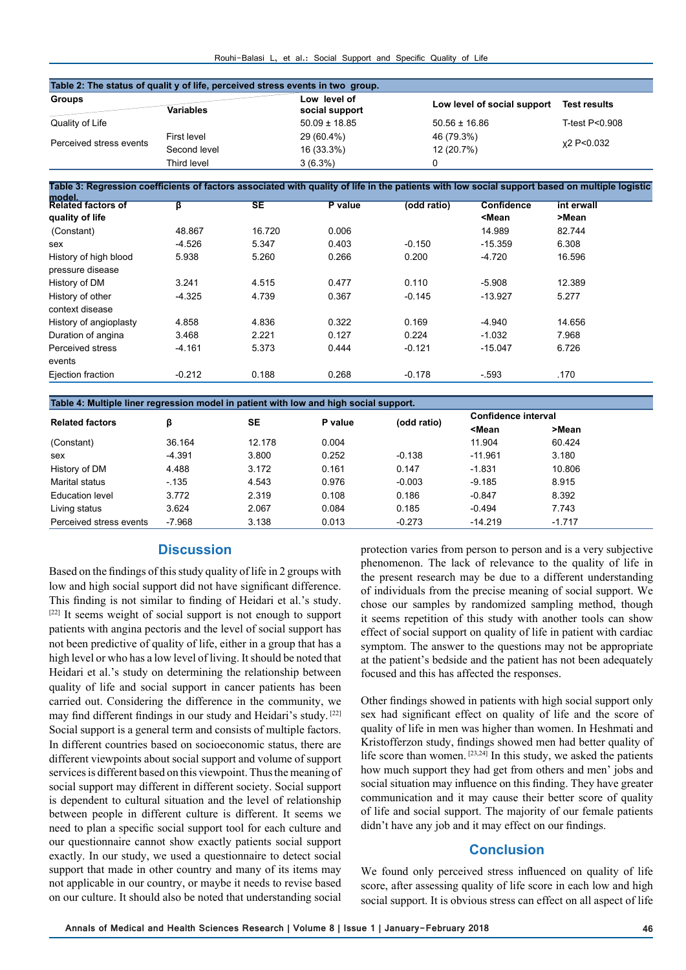| Rouhi-Balasi L, et al.: Social Support and Specific Quality of Life |  |  |  |  |  |  |  |  |
|---------------------------------------------------------------------|--|--|--|--|--|--|--|--|
|---------------------------------------------------------------------|--|--|--|--|--|--|--|--|

| <b>Groups</b>                                                                                                                                  |                                                   |           | Low level of      |                               | Low level of social support            |                |
|------------------------------------------------------------------------------------------------------------------------------------------------|---------------------------------------------------|-----------|-------------------|-------------------------------|----------------------------------------|----------------|
|                                                                                                                                                | Variables                                         |           | social support    |                               |                                        |                |
| Quality of Life                                                                                                                                |                                                   |           | $50.09 \pm 18.85$ | $50.56 \pm 16.86$             |                                        | T-test P<0.908 |
| Perceived stress events                                                                                                                        | <b>First level</b><br>Second level<br>Third level |           | 29 (60.4%)        | 46 (79.3%)<br>12 (20.7%)<br>0 |                                        | x2 P<0.032     |
|                                                                                                                                                |                                                   |           | 16 (33.3%)        |                               |                                        |                |
|                                                                                                                                                |                                                   |           | $3(6.3\%)$        |                               |                                        |                |
|                                                                                                                                                |                                                   |           |                   |                               |                                        |                |
| Table 3: Regression coefficients of factors associated with quality of life in the patients with low social support based on multiple logistic |                                                   |           |                   |                               |                                        |                |
| model.<br>Related factors of                                                                                                                   | β                                                 | <b>SE</b> | P value           | (odd ratio)                   | <b>Confidence</b>                      | int erwall     |
| quality of life                                                                                                                                |                                                   |           |                   |                               | <mean< td=""><td>&gt;Mean</td></mean<> | >Mean          |
| (Constant)                                                                                                                                     | 48.867                                            | 16.720    | 0.006             |                               | 14.989                                 | 82.744         |
| sex                                                                                                                                            | $-4.526$                                          | 5.347     | 0.403             | $-0.150$                      | $-15.359$                              | 6.308          |
| History of high blood                                                                                                                          | 5.938                                             | 5.260     | 0.266             | 0.200                         | $-4.720$                               | 16.596         |
| pressure disease                                                                                                                               |                                                   |           |                   |                               |                                        |                |
| History of DM                                                                                                                                  | 3.241                                             | 4.515     | 0.477             | 0.110                         | $-5.908$                               | 12.389         |
| History of other                                                                                                                               | $-4.325$                                          | 4.739     | 0.367             | $-0.145$                      | $-13.927$                              | 5.277          |
| context disease                                                                                                                                |                                                   |           |                   |                               |                                        |                |
| History of angioplasty                                                                                                                         | 4.858                                             | 4.836     | 0.322             | 0.169                         | $-4.940$                               | 14.656         |
| Duration of angina                                                                                                                             | 3.468                                             | 2.221     | 0.127             | 0.224                         | $-1.032$                               | 7.968          |
|                                                                                                                                                | $-4.161$                                          | 5.373     | 0.444             | $-0.121$                      | $-15.047$                              | 6.726          |
| Perceived stress                                                                                                                               |                                                   |           |                   |                               |                                        |                |
| events                                                                                                                                         |                                                   |           |                   |                               |                                        |                |

| <b>Related factors</b>  | ß        | SE     | P value | (odd ratio) | <b>Confidence interval</b>                      |          |  |  |
|-------------------------|----------|--------|---------|-------------|-------------------------------------------------|----------|--|--|
|                         |          |        |         |             | <mean< td=""><td>&gt;Mean</td><td></td></mean<> | >Mean    |  |  |
| (Constant)              | 36.164   | 12.178 | 0.004   |             | 11.904                                          | 60.424   |  |  |
| sex                     | $-4.391$ | 3.800  | 0.252   | $-0.138$    | $-11.961$                                       | 3.180    |  |  |
| History of DM           | 4.488    | 3.172  | 0.161   | 0.147       | $-1.831$                                        | 10.806   |  |  |
| Marital status          | $-135$   | 4.543  | 0.976   | $-0.003$    | $-9.185$                                        | 8.915    |  |  |
| Education level         | 3.772    | 2.319  | 0.108   | 0.186       | $-0.847$                                        | 8.392    |  |  |
| Living status           | 3.624    | 2.067  | 0.084   | 0.185       | $-0.494$                                        | 7.743    |  |  |
| Perceived stress events | $-7.968$ | 3.138  | 0.013   | $-0.273$    | $-14.219$                                       | $-1.717$ |  |  |

# **Discussion**

Based on the findings of this study quality of life in 2 groups with low and high social support did not have significant difference. This finding is not similar to finding of Heidari et al.'s study. [22] It seems weight of social support is not enough to support patients with angina pectoris and the level of social support has not been predictive of quality of life, either in a group that has a high level or who has a low level of living. It should be noted that Heidari et al.'s study on determining the relationship between quality of life and social support in cancer patients has been carried out. Considering the difference in the community, we may find different findings in our study and Heidari's study. [22] Social support is a general term and consists of multiple factors. In different countries based on socioeconomic status, there are different viewpoints about social support and volume of support services is different based on this viewpoint. Thus the meaning of social support may different in different society. Social support is dependent to cultural situation and the level of relationship between people in different culture is different. It seems we need to plan a specific social support tool for each culture and our questionnaire cannot show exactly patients social support exactly. In our study, we used a questionnaire to detect social support that made in other country and many of its items may not applicable in our country, or maybe it needs to revise based on our culture. It should also be noted that understanding social

protection varies from person to person and is a very subjective phenomenon. The lack of relevance to the quality of life in the present research may be due to a different understanding of individuals from the precise meaning of social support. We chose our samples by randomized sampling method, though it seems repetition of this study with another tools can show effect of social support on quality of life in patient with cardiac symptom. The answer to the questions may not be appropriate at the patient's bedside and the patient has not been adequately focused and this has affected the responses.

Other findings showed in patients with high social support only sex had significant effect on quality of life and the score of quality of life in men was higher than women. In Heshmati and Kristofferzon study, findings showed men had better quality of life score than women.  $[23,24]$  In this study, we asked the patients how much support they had get from others and men' jobs and social situation may influence on this finding. They have greater communication and it may cause their better score of quality of life and social support. The majority of our female patients didn't have any job and it may effect on our findings.

## **Conclusion**

We found only perceived stress influenced on quality of life score, after assessing quality of life score in each low and high social support. It is obvious stress can effect on all aspect of life